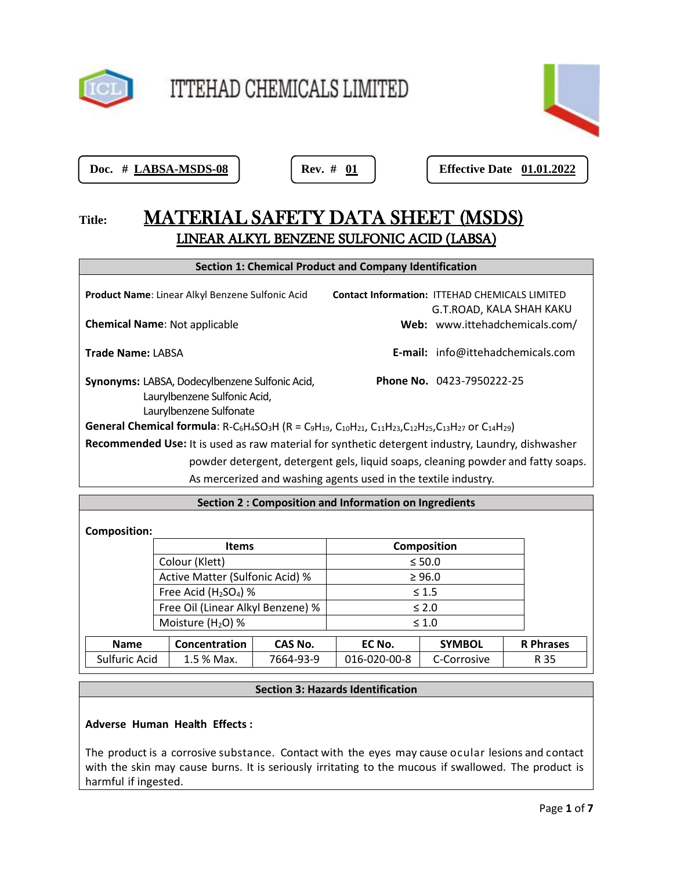

# ITTEHAD CHEMICALS LIMITED



**Doc. # <u>LABSA-MSDS-08</u> | Rev. # <u>01</u> | Reflective Date 01.01.2022** 

# **Title:** MATERIAL SAFETY DATA SHEET (MSDS) LINEAR ALKYL BENZENE SULFONIC ACID (LABSA)

| <b>Section 1: Chemical Product and Company Identification</b>                                                                                                                                                                                                                              |                                                  |                    |                                                                                   |  |
|--------------------------------------------------------------------------------------------------------------------------------------------------------------------------------------------------------------------------------------------------------------------------------------------|--------------------------------------------------|--------------------|-----------------------------------------------------------------------------------|--|
|                                                                                                                                                                                                                                                                                            | Product Name: Linear Alkyl Benzene Sulfonic Acid |                    | <b>Contact Information: ITTEHAD CHEMICALS LIMITED</b><br>G.T.ROAD, KALA SHAH KAKU |  |
| <b>Chemical Name: Not applicable</b>                                                                                                                                                                                                                                                       |                                                  |                    | Web: www.ittehadchemicals.com/                                                    |  |
| <b>Trade Name: LABSA</b>                                                                                                                                                                                                                                                                   |                                                  |                    | E-mail: info@ittehadchemicals.com                                                 |  |
| Phone No. 0423-7950222-25<br>Synonyms: LABSA, Dodecylbenzene Sulfonic Acid,<br>Laurylbenzene Sulfonic Acid,<br>Laurylbenzene Sulfonate                                                                                                                                                     |                                                  |                    |                                                                                   |  |
| General Chemical formula: R-C <sub>6</sub> H <sub>4</sub> SO <sub>3</sub> H (R = C <sub>9</sub> H <sub>19</sub> , C <sub>10</sub> H <sub>21</sub> , C <sub>11</sub> H <sub>23</sub> ,C <sub>12</sub> H <sub>25</sub> ,C <sub>13</sub> H <sub>27</sub> or C <sub>14</sub> H <sub>29</sub> ) |                                                  |                    |                                                                                   |  |
| Recommended Use: It is used as raw material for synthetic detergent industry, Laundry, dishwasher                                                                                                                                                                                          |                                                  |                    |                                                                                   |  |
| powder detergent, detergent gels, liquid soaps, cleaning powder and fatty soaps.                                                                                                                                                                                                           |                                                  |                    |                                                                                   |  |
| As mercerized and washing agents used in the textile industry.                                                                                                                                                                                                                             |                                                  |                    |                                                                                   |  |
|                                                                                                                                                                                                                                                                                            |                                                  |                    |                                                                                   |  |
| Section 2 : Composition and Information on Ingredients                                                                                                                                                                                                                                     |                                                  |                    |                                                                                   |  |
| <b>Composition:</b>                                                                                                                                                                                                                                                                        |                                                  |                    |                                                                                   |  |
|                                                                                                                                                                                                                                                                                            | <b>Items</b>                                     | <b>Composition</b> |                                                                                   |  |
|                                                                                                                                                                                                                                                                                            | Colour (Klett)                                   | $≤ 50.0$           |                                                                                   |  |
|                                                                                                                                                                                                                                                                                            | Active Matter (Sulfonic Acid) %                  | $\geq 96.0$        |                                                                                   |  |

| Free Acid $(H2SO4)$ %             |                    | $\leq 1.5$    |           |              |               |                  |
|-----------------------------------|--------------------|---------------|-----------|--------------|---------------|------------------|
| Free Oil (Linear Alkyl Benzene) % |                    |               |           | $\leq 2.0$   |               |                  |
|                                   | Moisture $(H2O)$ % |               |           | $\leq 1.0$   |               |                  |
|                                   | <b>Name</b>        | Concentration | CAS No.   | EC No.       | <b>SYMBOL</b> | <b>R</b> Phrases |
|                                   | Sulfuric Acid      | $1.5$ % Max.  | 7664-93-9 | 016-020-00-8 | C-Corrosive   | R 35             |

# **Section 3: Hazards Identification**

# **Adverse Human Health Effects :**

The product is a corrosive substance. Contact with the eyes may cause ocular lesions and contact with the skin may cause burns. It is seriously irritating to the mucous if swallowed. The product is harmful if ingested.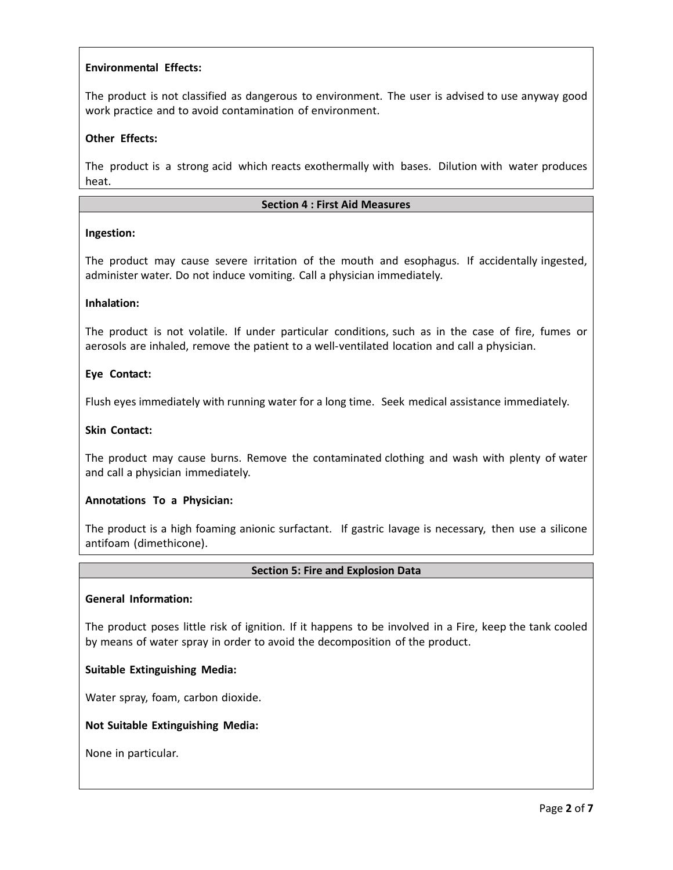# **Environmental Effects:**

The product is not classified as dangerous to environment. The user is advised to use anyway good work practice and to avoid contamination of environment.

# **Other Effects:**

The product is a strong acid which reacts exothermally with bases. Dilution with water produces heat.

#### **Section 4 : First Aid Measures**

# **Ingestion:**

The product may cause severe irritation of the mouth and esophagus. If accidentally ingested, administer water. Do not induce vomiting. Call a physician immediately.

#### **Inhalation:**

The product is not volatile. If under particular conditions, such as in the case of fire, fumes or aerosols are inhaled, remove the patient to a well-ventilated location and call a physician.

#### **Eye Contact:**

Flush eyes immediately with running water for a long time. Seek medical assistance immediately.

#### **Skin Contact:**

The product may cause burns. Remove the contaminated clothing and wash with plenty of water and call a physician immediately.

#### **Annotations To a Physician:**

The product is a high foaming anionic surfactant. If gastric lavage is necessary, then use a silicone antifoam (dimethicone).

#### **Section 5: Fire and Explosion Data**

#### **General Information:**

The product poses little risk of ignition. If it happens to be involved in a Fire, keep the tank cooled by means of water spray in order to avoid the decomposition of the product.

#### **Suitable Extinguishing Media:**

Water spray, foam, carbon dioxide.

#### **Not Suitable Extinguishing Media:**

None in particular.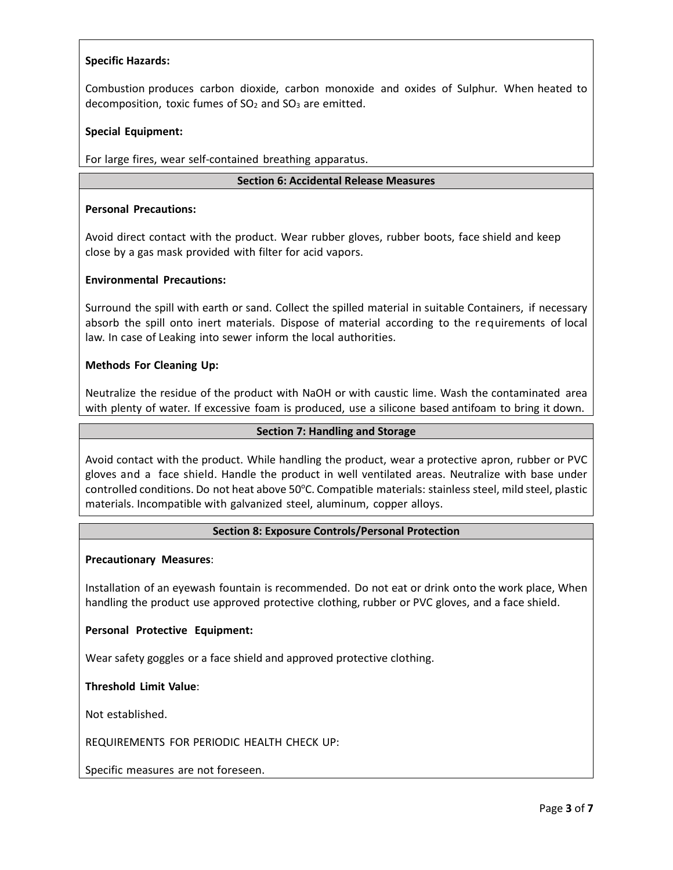# **Specific Hazards:**

Combustion produces carbon dioxide, carbon monoxide and oxides of Sulphur. When heated to decomposition, toxic fumes of  $SO<sub>2</sub>$  and  $SO<sub>3</sub>$  are emitted.

#### **Special Equipment:**

For large fires, wear self-contained breathing apparatus.

#### **Section 6: Accidental Release Measures**

#### **Personal Precautions:**

Avoid direct contact with the product. Wear rubber gloves, rubber boots, face shield and keep close by a gas mask provided with filter for acid vapors.

#### **Environmental Precautions:**

Surround the spill with earth or sand. Collect the spilled material in suitable Containers, if necessary absorb the spill onto inert materials. Dispose of material according to the requirements of local law. In case of Leaking into sewer inform the local authorities.

#### **Methods For Cleaning Up:**

Neutralize the residue of the product with NaOH or with caustic lime. Wash the contaminated area with plenty of water. If excessive foam is produced, use a silicone based antifoam to bring it down.

#### **Section 7: Handling and Storage**

Avoid contact with the product. While handling the product, wear a protective apron, rubber or PVC gloves and a face shield. Handle the product in well ventilated areas. Neutralize with base under controlled conditions. Do not heat above 50°C. Compatible materials: stainless steel, mild steel, plastic materials. Incompatible with galvanized steel, aluminum, copper alloys.

#### **Section 8: Exposure Controls/Personal Protection**

#### **Precautionary Measures**:

Installation of an eyewash fountain is recommended. Do not eat or drink onto the work place, When handling the product use approved protective clothing, rubber or PVC gloves, and a face shield.

#### **Personal Protective Equipment:**

Wear safety goggles or a face shield and approved protective clothing.

#### **Threshold Limit Value**:

Not established.

REQUIREMENTS FOR PERIODIC HEALTH CHECK UP:

Specific measures are not foreseen.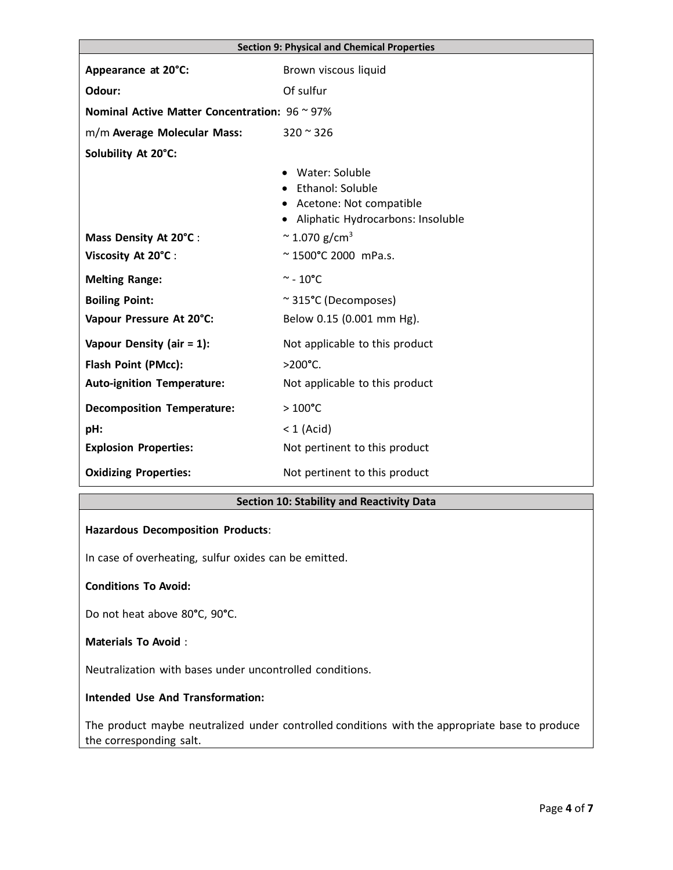| <b>Section 9: Physical and Chemical Properties</b> |                                                                                                        |  |
|----------------------------------------------------|--------------------------------------------------------------------------------------------------------|--|
| Appearance at 20°C:                                | Brown viscous liquid                                                                                   |  |
| Odour:                                             | Of sulfur                                                                                              |  |
| Nominal Active Matter Concentration: 96 ~ 97%      |                                                                                                        |  |
| m/m Average Molecular Mass:                        | $320 \approx 326$                                                                                      |  |
| Solubility At 20°C:                                |                                                                                                        |  |
|                                                    | Water: Soluble<br>Ethanol: Soluble<br>• Acetone: Not compatible<br>• Aliphatic Hydrocarbons: Insoluble |  |
| Mass Density At 20°C :                             | $\approx$ 1.070 g/cm <sup>3</sup>                                                                      |  |
| Viscosity At 20°C :                                | ~1500°C 2000 mPa.s.                                                                                    |  |
| <b>Melting Range:</b>                              | $\sim$ - 10°C                                                                                          |  |
| <b>Boiling Point:</b>                              | ~315°C (Decomposes)                                                                                    |  |
| Vapour Pressure At 20°C:                           | Below 0.15 (0.001 mm Hg).                                                                              |  |
| Vapour Density (air $= 1$ ):                       | Not applicable to this product                                                                         |  |
| Flash Point (PMcc):                                | $>200^{\circ}$ C.                                                                                      |  |
| <b>Auto-ignition Temperature:</b>                  | Not applicable to this product                                                                         |  |
| <b>Decomposition Temperature:</b>                  | $>100^{\circ}$ C                                                                                       |  |
| pH:                                                | $<$ 1 (Acid)                                                                                           |  |
| <b>Explosion Properties:</b>                       | Not pertinent to this product                                                                          |  |
| <b>Oxidizing Properties:</b>                       | Not pertinent to this product                                                                          |  |

# **Section 10: Stability and Reactivity Data**

#### **Hazardous Decomposition Products**:

In case of overheating, sulfur oxides can be emitted.

#### **Conditions To Avoid:**

Do not heat above 80**°**C, 90**°**C.

#### **Materials To Avoid** :

Neutralization with bases under uncontrolled conditions.

# **Intended Use And Transformation:**

The product maybe neutralized under controlled conditions with the appropriate base to produce the corresponding salt.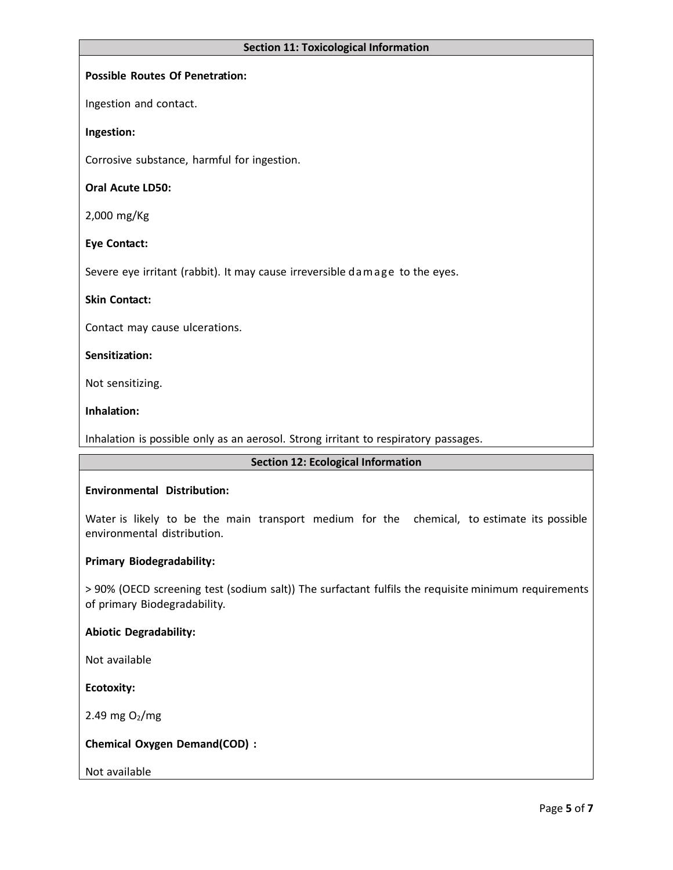#### **Section 11: Toxicological Information**

#### **Possible Routes Of Penetration:**

Ingestion and contact.

#### **Ingestion:**

Corrosive substance, harmful for ingestion.

#### **Oral Acute LD50:**

2,000 mg/Kg

#### **Eye Contact:**

Severe eye irritant (rabbit). It may cause irreversible dam age to the eyes.

#### **Skin Contact:**

Contact may cause ulcerations.

#### **Sensitization:**

Not sensitizing.

#### **Inhalation:**

Inhalation is possible only as an aerosol. Strong irritant to respiratory passages.

#### **Section 12: Ecological Information**

#### **Environmental Distribution:**

Water is likely to be the main transport medium for the chemical, to estimate its possible environmental distribution.

#### **Primary Biodegradability:**

> 90% (OECD screening test (sodium salt)) The surfactant fulfils the requisite minimum requirements of primary Biodegradability.

#### **Abiotic Degradability:**

Not available

**Ecotoxity:**

2.49 mg  $O_2/mg$ 

# **Chemical Oxygen Demand(COD) :**

# Not available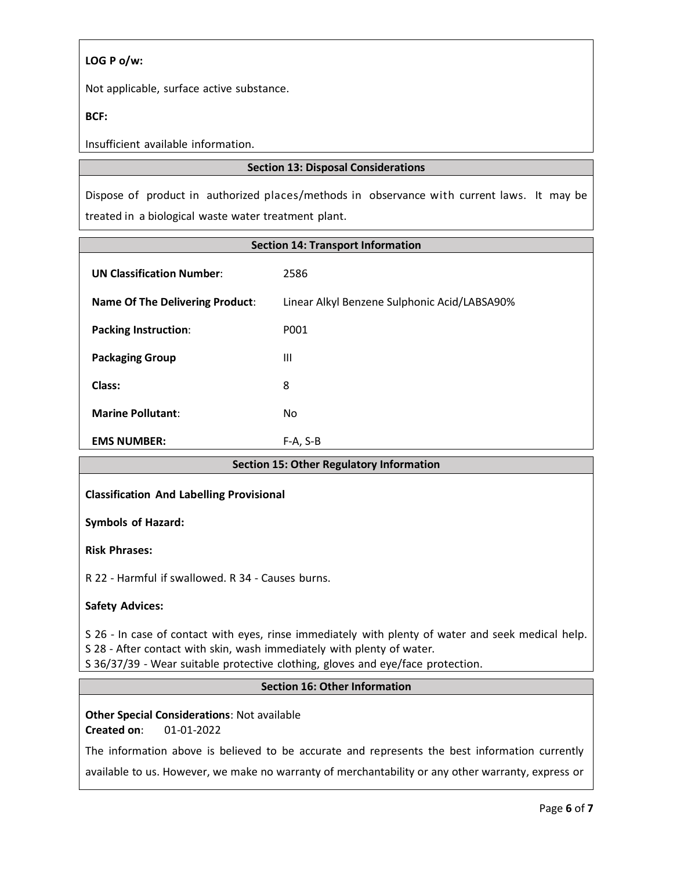# **LOG P o/w:**

Not applicable, surface active substance.

# **BCF:**

Insufficient available information.

# **Section 13: Disposal Considerations**

Dispose of product in authorized places/methods in observance with current laws. It may be treated in a biological waste water treatment plant.

| <b>Section 14: Transport Information</b> |                                              |  |  |  |
|------------------------------------------|----------------------------------------------|--|--|--|
| <b>UN Classification Number:</b>         | 2586                                         |  |  |  |
| <b>Name Of The Delivering Product:</b>   | Linear Alkyl Benzene Sulphonic Acid/LABSA90% |  |  |  |
| <b>Packing Instruction:</b>              | P001                                         |  |  |  |
| <b>Packaging Group</b>                   | Ш                                            |  |  |  |
| Class:                                   | 8                                            |  |  |  |
| <b>Marine Pollutant:</b>                 | No                                           |  |  |  |
| <b>EMS NUMBER:</b>                       | $F-A, S-B$                                   |  |  |  |

# **Section 15: Other Regulatory Information**

# **Classification And Labelling Provisional**

**Symbols of Hazard:** 

**Risk Phrases:**

R 22 - Harmful if swallowed. R 34 - Causes burns.

# **Safety Advices:**

S 26 - In case of contact with eyes, rinse immediately with plenty of water and seek medical help. S 28 - After contact with skin, wash immediately with plenty of water.

S 36/37/39 - Wear suitable protective clothing, gloves and eye/face protection.

# **Section 16: Other Information**

**Other Special Considerations**: Not available **Created on**: 01-01-2022

The information above is believed to be accurate and represents the best information currently

available to us. However, we make no warranty of merchantability or any other warranty, express or